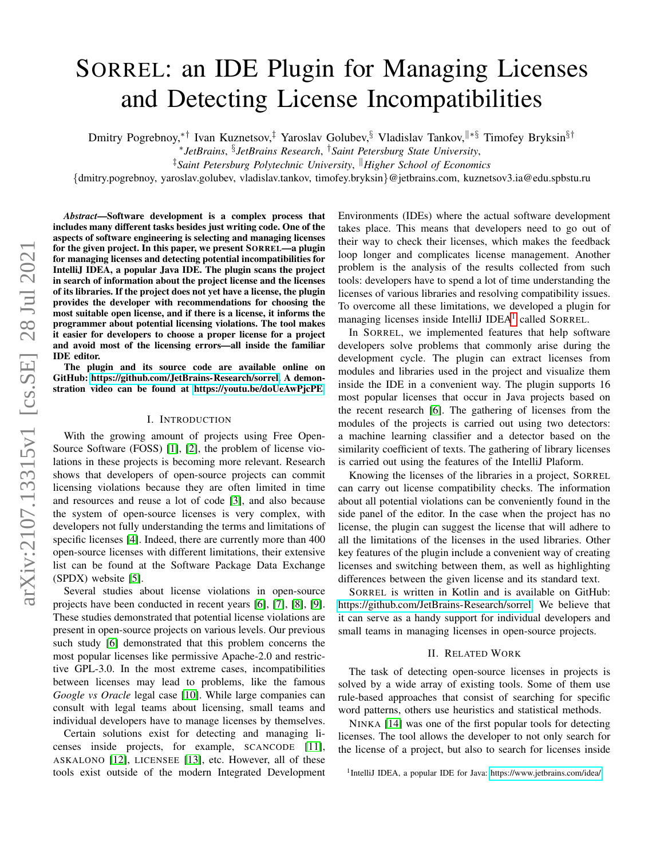# SORREL: an IDE Plugin for Managing Licenses and Detecting License Incompatibilities

Dmitry Pogrebnoy,<sup>∗†</sup> Ivan Kuznetsov,<sup>‡</sup> Yaroslav Golubev,<sup>§</sup> Vladislav Tankov,<sup>∥∗§</sup> Timofey Bryksin<sup>§†</sup>

∗ *JetBrains*, § *JetBrains Research*, †*Saint Petersburg State University*,

‡*Saint Petersburg Polytechnic University*, <sup>k</sup>*Higher School of Economics*

{dmitry.pogrebnoy, yaroslav.golubev, vladislav.tankov, timofey.bryksin}@jetbrains.com, kuznetsov3.ia@edu.spbstu.ru

*Abstract*—Software development is a complex process that includes many different tasks besides just writing code. One of the aspects of software engineering is selecting and managing licenses for the given project. In this paper, we present SORREL—a plugin for managing licenses and detecting potential incompatibilities for IntelliJ IDEA, a popular Java IDE. The plugin scans the project in search of information about the project license and the licenses of its libraries. If the project does not yet have a license, the plugin provides the developer with recommendations for choosing the most suitable open license, and if there is a license, it informs the programmer about potential licensing violations. The tool makes it easier for developers to choose a proper license for a project and avoid most of the licensing errors—all inside the familiar IDE editor.

The plugin and its source code are available online on GitHub: [https://github.com/JetBrains-Research/sorrel.](https://github.com/JetBrains-Research/sorrel) A demonstration video can be found at [https://youtu.be/doUeAwPjcPE.](https://youtu.be/doUeAwPjcPE)

#### I. INTRODUCTION

With the growing amount of projects using Free Open-Source Software (FOSS) [\[1\]](#page-4-0), [\[2\]](#page-4-1), the problem of license violations in these projects is becoming more relevant. Research shows that developers of open-source projects can commit licensing violations because they are often limited in time and resources and reuse a lot of code [\[3\]](#page-4-2), and also because the system of open-source licenses is very complex, with developers not fully understanding the terms and limitations of specific licenses [\[4\]](#page-4-3). Indeed, there are currently more than 400 open-source licenses with different limitations, their extensive list can be found at the Software Package Data Exchange (SPDX) website [\[5\]](#page-4-4).

Several studies about license violations in open-source projects have been conducted in recent years [\[6\]](#page-4-5), [\[7\]](#page-4-6), [\[8\]](#page-4-7), [\[9\]](#page-4-8). These studies demonstrated that potential license violations are present in open-source projects on various levels. Our previous such study [\[6\]](#page-4-5) demonstrated that this problem concerns the most popular licenses like permissive Apache-2.0 and restrictive GPL-3.0. In the most extreme cases, incompatibilities between licenses may lead to problems, like the famous *Google vs Oracle* legal case [\[10\]](#page-4-9). While large companies can consult with legal teams about licensing, small teams and individual developers have to manage licenses by themselves.

Certain solutions exist for detecting and managing licenses inside projects, for example, SCANCODE [\[11\]](#page-4-10), ASKALONO [\[12\]](#page-4-11), LICENSEE [\[13\]](#page-4-12), etc. However, all of these tools exist outside of the modern Integrated Development Environments (IDEs) where the actual software development takes place. This means that developers need to go out of their way to check their licenses, which makes the feedback loop longer and complicates license management. Another problem is the analysis of the results collected from such tools: developers have to spend a lot of time understanding the licenses of various libraries and resolving compatibility issues. To overcome all these limitations, we developed a plugin for managing licenses inside IntelliJ IDEA<sup>[1](#page-0-0)</sup> called SORREL.

In SORREL, we implemented features that help software developers solve problems that commonly arise during the development cycle. The plugin can extract licenses from modules and libraries used in the project and visualize them inside the IDE in a convenient way. The plugin supports 16 most popular licenses that occur in Java projects based on the recent research [\[6\]](#page-4-5). The gathering of licenses from the modules of the projects is carried out using two detectors: a machine learning classifier and a detector based on the similarity coefficient of texts. The gathering of library licenses is carried out using the features of the IntelliJ Plaform.

Knowing the licenses of the libraries in a project, SORREL can carry out license compatibility checks. The information about all potential violations can be conveniently found in the side panel of the editor. In the case when the project has no license, the plugin can suggest the license that will adhere to all the limitations of the licenses in the used libraries. Other key features of the plugin include a convenient way of creating licenses and switching between them, as well as highlighting differences between the given license and its standard text.

SORREL is written in Kotlin and is available on GitHub: [https://github.com/JetBrains-Research/sorrel.](https://github.com/JetBrains-Research/sorrel) We believe that it can serve as a handy support for individual developers and small teams in managing licenses in open-source projects.

#### II. RELATED WORK

The task of detecting open-source licenses in projects is solved by a wide array of existing tools. Some of them use rule-based approaches that consist of searching for specific word patterns, others use heuristics and statistical methods.

<span id="page-0-0"></span>NINKA [\[14\]](#page-4-13) was one of the first popular tools for detecting licenses. The tool allows the developer to not only search for the license of a project, but also to search for licenses inside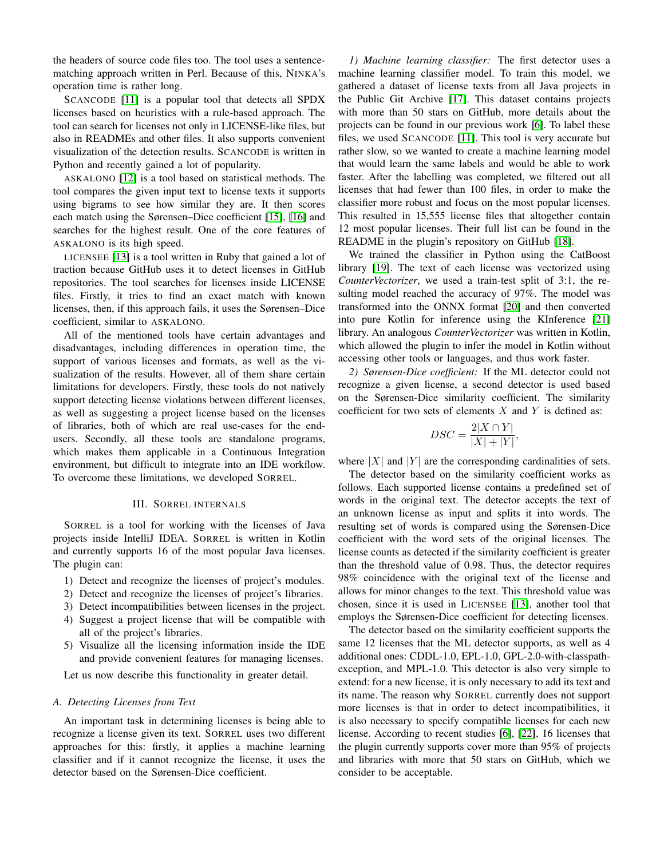the headers of source code files too. The tool uses a sentencematching approach written in Perl. Because of this, NINKA's operation time is rather long.

SCANCODE [\[11\]](#page-4-10) is a popular tool that detects all SPDX licenses based on heuristics with a rule-based approach. The tool can search for licenses not only in LICENSE-like files, but also in READMEs and other files. It also supports convenient visualization of the detection results. SCANCODE is written in Python and recently gained a lot of popularity.

ASKALONO [\[12\]](#page-4-11) is a tool based on statistical methods. The tool compares the given input text to license texts it supports using bigrams to see how similar they are. It then scores each match using the Sørensen–Dice coefficient [\[15\]](#page-4-14), [\[16\]](#page-4-15) and searches for the highest result. One of the core features of ASKALONO is its high speed.

LICENSEE [\[13\]](#page-4-12) is a tool written in Ruby that gained a lot of traction because GitHub uses it to detect licenses in GitHub repositories. The tool searches for licenses inside LICENSE files. Firstly, it tries to find an exact match with known licenses, then, if this approach fails, it uses the Sørensen–Dice coefficient, similar to ASKALONO.

All of the mentioned tools have certain advantages and disadvantages, including differences in operation time, the support of various licenses and formats, as well as the visualization of the results. However, all of them share certain limitations for developers. Firstly, these tools do not natively support detecting license violations between different licenses, as well as suggesting a project license based on the licenses of libraries, both of which are real use-cases for the endusers. Secondly, all these tools are standalone programs, which makes them applicable in a Continuous Integration environment, but difficult to integrate into an IDE workflow. To overcome these limitations, we developed SORREL.

# III. SORREL INTERNALS

SORREL is a tool for working with the licenses of Java projects inside IntelliJ IDEA. SORREL is written in Kotlin and currently supports 16 of the most popular Java licenses. The plugin can:

- 1) Detect and recognize the licenses of project's modules.
- 2) Detect and recognize the licenses of project's libraries.
- 3) Detect incompatibilities between licenses in the project.
- 4) Suggest a project license that will be compatible with all of the project's libraries.
- 5) Visualize all the licensing information inside the IDE and provide convenient features for managing licenses.

Let us now describe this functionality in greater detail.

## <span id="page-1-0"></span>*A. Detecting Licenses from Text*

An important task in determining licenses is being able to recognize a license given its text. SORREL uses two different approaches for this: firstly, it applies a machine learning classifier and if it cannot recognize the license, it uses the detector based on the Sørensen-Dice coefficient.

*1) Machine learning classifier:* The first detector uses a machine learning classifier model. To train this model, we gathered a dataset of license texts from all Java projects in the Public Git Archive [\[17\]](#page-4-16). This dataset contains projects with more than 50 stars on GitHub, more details about the projects can be found in our previous work [\[6\]](#page-4-5). To label these files, we used SCANCODE [\[11\]](#page-4-10). This tool is very accurate but rather slow, so we wanted to create a machine learning model that would learn the same labels and would be able to work faster. After the labelling was completed, we filtered out all licenses that had fewer than 100 files, in order to make the classifier more robust and focus on the most popular licenses. This resulted in 15,555 license files that altogether contain 12 most popular licenses. Their full list can be found in the README in the plugin's repository on GitHub [\[18\]](#page-4-17).

We trained the classifier in Python using the CatBoost library [\[19\]](#page-4-18). The text of each license was vectorized using *CounterVectorizer*, we used a train-test split of 3:1, the resulting model reached the accuracy of 97%. The model was transformed into the ONNX format [\[20\]](#page-4-19) and then converted into pure Kotlin for inference using the KInference [\[21\]](#page-4-20) library. An analogous *CounterVectorizer* was written in Kotlin, which allowed the plugin to infer the model in Kotlin without accessing other tools or languages, and thus work faster.

*2) Sørensen-Dice coefficient:* If the ML detector could not recognize a given license, a second detector is used based on the Sørensen-Dice similarity coefficient. The similarity coefficient for two sets of elements  $X$  and  $Y$  is defined as:

$$
DSC = \frac{2|X \cap Y|}{|X| + |Y|},
$$

where  $|X|$  and  $|Y|$  are the corresponding cardinalities of sets.

The detector based on the similarity coefficient works as follows. Each supported license contains a predefined set of words in the original text. The detector accepts the text of an unknown license as input and splits it into words. The resulting set of words is compared using the Sørensen-Dice coefficient with the word sets of the original licenses. The license counts as detected if the similarity coefficient is greater than the threshold value of 0.98. Thus, the detector requires 98% coincidence with the original text of the license and allows for minor changes to the text. This threshold value was chosen, since it is used in LICENSEE [\[13\]](#page-4-12), another tool that employs the Sørensen-Dice coefficient for detecting licenses.

The detector based on the similarity coefficient supports the same 12 licenses that the ML detector supports, as well as 4 additional ones: CDDL-1.0, EPL-1.0, GPL-2.0-with-classpathexception, and MPL-1.0. This detector is also very simple to extend: for a new license, it is only necessary to add its text and its name. The reason why SORREL currently does not support more licenses is that in order to detect incompatibilities, it is also necessary to specify compatible licenses for each new license. According to recent studies [\[6\]](#page-4-5), [\[22\]](#page-4-21), 16 licenses that the plugin currently supports cover more than 95% of projects and libraries with more that 50 stars on GitHub, which we consider to be acceptable.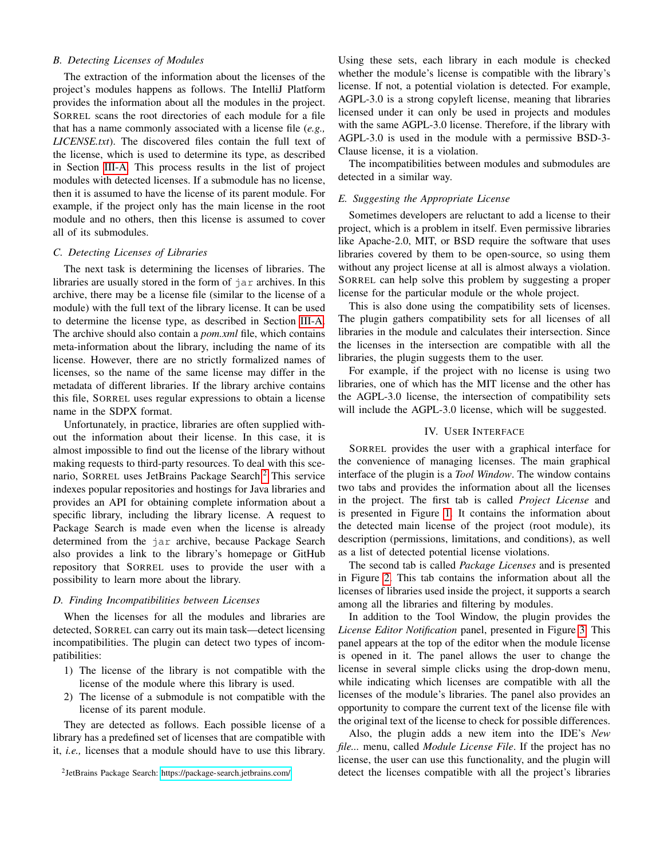## *B. Detecting Licenses of Modules*

The extraction of the information about the licenses of the project's modules happens as follows. The IntelliJ Platform provides the information about all the modules in the project. SORREL scans the root directories of each module for a file that has a name commonly associated with a license file (*e.g., LICENSE.txt*). The discovered files contain the full text of the license, which is used to determine its type, as described in Section [III-A.](#page-1-0) This process results in the list of project modules with detected licenses. If a submodule has no license, then it is assumed to have the license of its parent module. For example, if the project only has the main license in the root module and no others, then this license is assumed to cover all of its submodules.

## *C. Detecting Licenses of Libraries*

The next task is determining the licenses of libraries. The libraries are usually stored in the form of  $\exists$  are archives. In this archive, there may be a license file (similar to the license of a module) with the full text of the library license. It can be used to determine the license type, as described in Section [III-A.](#page-1-0) The archive should also contain a *pom.xml* file, which contains meta-information about the library, including the name of its license. However, there are no strictly formalized names of licenses, so the name of the same license may differ in the metadata of different libraries. If the library archive contains this file, SORREL uses regular expressions to obtain a license name in the SDPX format.

Unfortunately, in practice, libraries are often supplied without the information about their license. In this case, it is almost impossible to find out the license of the library without making requests to third-party resources. To deal with this sce-nario, SORREL uses JetBrains Package Search.<sup>[2](#page-2-0)</sup> This service indexes popular repositories and hostings for Java libraries and provides an API for obtaining complete information about a specific library, including the library license. A request to Package Search is made even when the license is already determined from the jar archive, because Package Search also provides a link to the library's homepage or GitHub repository that SORREL uses to provide the user with a possibility to learn more about the library.

## *D. Finding Incompatibilities between Licenses*

When the licenses for all the modules and libraries are detected, SORREL can carry out its main task—detect licensing incompatibilities. The plugin can detect two types of incompatibilities:

- 1) The license of the library is not compatible with the license of the module where this library is used.
- 2) The license of a submodule is not compatible with the license of its parent module.

They are detected as follows. Each possible license of a library has a predefined set of licenses that are compatible with it, *i.e.,* licenses that a module should have to use this library.

<span id="page-2-0"></span>2 JetBrains Package Search:<https://package-search.jetbrains.com/>

Using these sets, each library in each module is checked whether the module's license is compatible with the library's license. If not, a potential violation is detected. For example, AGPL-3.0 is a strong copyleft license, meaning that libraries licensed under it can only be used in projects and modules with the same AGPL-3.0 license. Therefore, if the library with AGPL-3.0 is used in the module with a permissive BSD-3- Clause license, it is a violation.

The incompatibilities between modules and submodules are detected in a similar way.

#### <span id="page-2-1"></span>*E. Suggesting the Appropriate License*

Sometimes developers are reluctant to add a license to their project, which is a problem in itself. Even permissive libraries like Apache-2.0, MIT, or BSD require the software that uses libraries covered by them to be open-source, so using them without any project license at all is almost always a violation. SORREL can help solve this problem by suggesting a proper license for the particular module or the whole project.

This is also done using the compatibility sets of licenses. The plugin gathers compatibility sets for all licenses of all libraries in the module and calculates their intersection. Since the licenses in the intersection are compatible with all the libraries, the plugin suggests them to the user.

For example, if the project with no license is using two libraries, one of which has the MIT license and the other has the AGPL-3.0 license, the intersection of compatibility sets will include the AGPL-3.0 license, which will be suggested.

#### IV. USER INTERFACE

SORREL provides the user with a graphical interface for the convenience of managing licenses. The main graphical interface of the plugin is a *Tool Window*. The window contains two tabs and provides the information about all the licenses in the project. The first tab is called *Project License* and is presented in Figure [1.](#page-3-0) It contains the information about the detected main license of the project (root module), its description (permissions, limitations, and conditions), as well as a list of detected potential license violations.

The second tab is called *Package Licenses* and is presented in Figure [2.](#page-3-1) This tab contains the information about all the licenses of libraries used inside the project, it supports a search among all the libraries and filtering by modules.

In addition to the Tool Window, the plugin provides the *License Editor Notification* panel, presented in Figure [3.](#page-3-2) This panel appears at the top of the editor when the module license is opened in it. The panel allows the user to change the license in several simple clicks using the drop-down menu, while indicating which licenses are compatible with all the licenses of the module's libraries. The panel also provides an opportunity to compare the current text of the license file with the original text of the license to check for possible differences.

Also, the plugin adds a new item into the IDE's *New file...* menu, called *Module License File*. If the project has no license, the user can use this functionality, and the plugin will detect the licenses compatible with all the project's libraries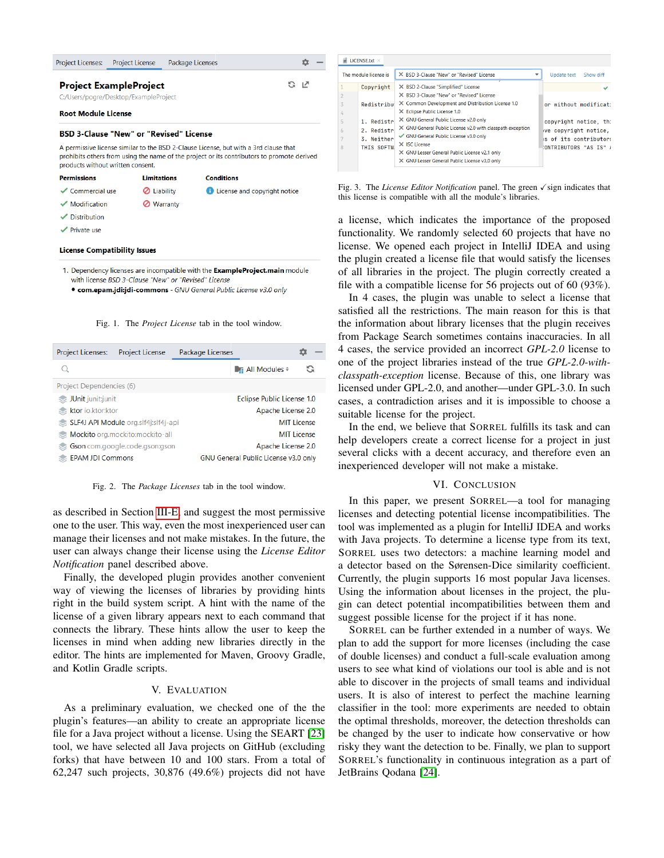| <b>Project Licenses:</b>                                            | <b>Project License</b>            | Package Licenses |                                                                                                                                                                                    |  |  |  |  |  |
|---------------------------------------------------------------------|-----------------------------------|------------------|------------------------------------------------------------------------------------------------------------------------------------------------------------------------------------|--|--|--|--|--|
| <b>Project ExampleProject</b>                                       | G                                 | -17              |                                                                                                                                                                                    |  |  |  |  |  |
| C:/Users/pogre/Desktop/ExampleProject<br><b>Root Module License</b> |                                   |                  |                                                                                                                                                                                    |  |  |  |  |  |
| <b>BSD 3-Clause "New" or "Revised" License</b>                      |                                   |                  |                                                                                                                                                                                    |  |  |  |  |  |
|                                                                     | products without written consent. |                  | A permissive license similar to the BSD 2-Clause License, but with a 3rd clause that<br>prohibits others from using the name of the project or its contributors to promote derived |  |  |  |  |  |
| <b>Permissions</b>                                                  | <b>Limitations</b>                |                  | <b>Conditions</b>                                                                                                                                                                  |  |  |  |  |  |
| $\checkmark$ Commercial use                                         |                                   | Liability        | <b>E</b> License and copyright notice                                                                                                                                              |  |  |  |  |  |
| $\sqrt{\phantom{a}}$ Modification                                   | ∽                                 | <b>Warranty</b>  |                                                                                                                                                                                    |  |  |  |  |  |

- Distribution
- $\checkmark$  Private use

#### **License Compatibility Issues**

- 1. Dependency licenses are incompatible with the ExampleProject.main module with license BSD 3-Clause "New" or "Revised" License
	- · com.epam.jdi:jdi-commons GNU General Public License v3.0 only

#### <span id="page-3-0"></span>Fig. 1. The *Project License* tab in the tool window.

| Project Licenses:<br><b>Project License</b> | Package Licenses                            |
|---------------------------------------------|---------------------------------------------|
|                                             | G<br><b>Example 1</b> Modules $\approx$     |
| Project Dependencies (6)                    |                                             |
| JUnit junit;junit                           | Eclipse Public License 1.0                  |
| ktor io.ktor:ktor                           | Apache License 2.0                          |
| SLF4J API Module org.slf4j:slf4j-api        | <b>MIT License</b>                          |
| Mockito org.mockito:mockito-all             | <b>MIT License</b>                          |
| Gson com.google.code.gson:gson              | Apache License 2.0                          |
| <b>EPAM JDI Commons</b>                     | <b>GNU General Public License v3.0 only</b> |

<span id="page-3-1"></span>Fig. 2. The *Package Licenses* tab in the tool window.

as described in Section [III-E,](#page-2-1) and suggest the most permissive one to the user. This way, even the most inexperienced user can manage their licenses and not make mistakes. In the future, the user can always change their license using the *License Editor Notification* panel described above.

Finally, the developed plugin provides another convenient way of viewing the licenses of libraries by providing hints right in the build system script. A hint with the name of the license of a given library appears next to each command that connects the library. These hints allow the user to keep the licenses in mind when adding new libraries directly in the editor. The hints are implemented for Maven, Groovy Gradle, and Kotlin Gradle scripts.

## V. EVALUATION

As a preliminary evaluation, we checked one of the the plugin's features—an ability to create an appropriate license file for a Java project without a license. Using the SEART [\[23\]](#page-4-22) tool, we have selected all Java projects on GitHub (excluding forks) that have between 10 and 100 stars. From a total of 62,247 such projects, 30,876 (49.6%) projects did not have

|                | The module license is | X BSD 3-Clause "New" or "Revised" License                  | Show diff<br>Update text |
|----------------|-----------------------|------------------------------------------------------------|--------------------------|
| $\mathbf{1}$   | Copyright             | X BSD 2-Clause "Simplified" License                        |                          |
| $\overline{2}$ |                       | X BSD 3-Clause "New" or "Revised" License                  |                          |
| $\overline{3}$ | Redistribut           | X Common Development and Distribution License 1.0          | or without modificat:    |
| 4              |                       | X Eclipse Public License 1.0                               |                          |
| 5              | 1. Redistr            | X GNU General Public License v2.0 only                     | copyright notice, th:    |
| 6              | 2. Redistr            | X GNU General Public License v2.0 with classpath exception | ve copyright notice,     |
|                | 3. Neither            | GNU General Public License v3.0 only                       | s of its contributors    |
| 8              | THIS SOFTW.           | X ISC License                                              | ONTRIBUTORS "AS IS" /    |
|                |                       | X GNU Lesser General Public License v2.1 only              |                          |
|                |                       | X GNU Lesser General Public License v3.0 only              |                          |

<span id="page-3-2"></span>Fig. 3. The *License Editor Notification* panel. The green  $\checkmark$  sign indicates that this license is compatible with all the module's libraries.

a license, which indicates the importance of the proposed functionality. We randomly selected 60 projects that have no license. We opened each project in IntelliJ IDEA and using the plugin created a license file that would satisfy the licenses of all libraries in the project. The plugin correctly created a file with a compatible license for 56 projects out of 60 (93%).

In 4 cases, the plugin was unable to select a license that satisfied all the restrictions. The main reason for this is that the information about library licenses that the plugin receives from Package Search sometimes contains inaccuracies. In all 4 cases, the service provided an incorrect *GPL-2.0* license to one of the project libraries instead of the true *GPL-2.0-withclasspath-exception* license. Because of this, one library was licensed under GPL-2.0, and another—under GPL-3.0. In such cases, a contradiction arises and it is impossible to choose a suitable license for the project.

In the end, we believe that SORREL fulfills its task and can help developers create a correct license for a project in just several clicks with a decent accuracy, and therefore even an inexperienced developer will not make a mistake.

## VI. CONCLUSION

In this paper, we present SORREL—a tool for managing licenses and detecting potential license incompatibilities. The tool was implemented as a plugin for IntelliJ IDEA and works with Java projects. To determine a license type from its text, SORREL uses two detectors: a machine learning model and a detector based on the Sørensen-Dice similarity coefficient. Currently, the plugin supports 16 most popular Java licenses. Using the information about licenses in the project, the plugin can detect potential incompatibilities between them and suggest possible license for the project if it has none.

SORREL can be further extended in a number of ways. We plan to add the support for more licenses (including the case of double licenses) and conduct a full-scale evaluation among users to see what kind of violations our tool is able and is not able to discover in the projects of small teams and individual users. It is also of interest to perfect the machine learning classifier in the tool: more experiments are needed to obtain the optimal thresholds, moreover, the detection thresholds can be changed by the user to indicate how conservative or how risky they want the detection to be. Finally, we plan to support SORREL's functionality in continuous integration as a part of JetBrains Qodana [\[24\]](#page-4-23).